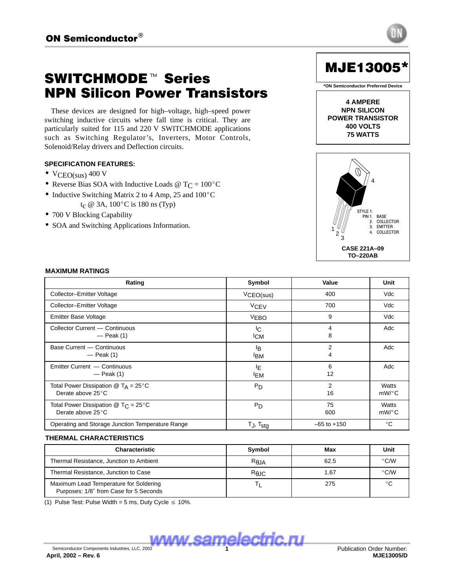# **SWITCHMODE™ Series** NPN Silicon Power Transistors

These devices are designed for high–voltage, high–speed power switching inductive circuits where fall time is critical. They are particularly suited for 115 and 220 V SWITCHMODE applications such as Switching Regulator's, Inverters, Motor Controls, Solenoid/Relay drivers and Deflection circuits.

# **SPECIFICATION FEATURES:**

- $VCEO(sus)$  400 V
- VCEO(sus) 400 V<br>• Reverse Bias SOA with Inductive Loads @  $T_C = 100^{\circ}C$
- Reverse Bias SOA with Inductive Loads  $\textcircled{r}$  T<sub>C</sub> = 100<sup>o</sup><br>• Inductive Switching Matrix 2 to 4 Amp, 25 and 100<sup>o</sup>C • Inductive Switching Matrix 2 to 4 Amp, 25 and  $100^{\circ}$ C<br>t<sub>c</sub> @ 3A,  $100^{\circ}$ C is 180 ns (Typ)
- 700 V Blocking Capability
- SOA and Switching Applications Information.



**4 AMPERE NPN SILICON POWER TRANSISTOR 400 VOLTS 75 WATTS**



### 

| Rating                                                                 | Symbol                       | Value                | Unit           |
|------------------------------------------------------------------------|------------------------------|----------------------|----------------|
| Collector-Emitter Voltage                                              | VCEO(sus)                    | 400                  | Vdc            |
| Collector-Emitter Voltage                                              | VCEV                         | 700                  | Vdc            |
| Emitter Base Voltage                                                   | <b>VEBO</b>                  | 9                    | Vdc            |
| Collector Current - Continuous<br>$-$ Peak (1)                         | IC.<br><b>ICM</b>            | 8                    | Adc            |
| Base Current - Continuous<br>$-$ Peak (1)                              | <sup>I</sup> B<br><b>IBM</b> | 2                    | Adc            |
| Emitter Current - Continuous<br>$-$ Peak (1)                           | ΙE<br><sup>I</sup> EM        | 6<br>12              | Adc            |
| Total Power Dissipation $@T_A = 25°C$<br>Derate above 25°C             | $P_D$                        | $\overline{2}$<br>16 | Watts<br>mW/°C |
| Total Power Dissipation $@$ T <sub>C</sub> = 25°C<br>Derate above 25°C | P <sub>D</sub>               | 75<br>600            | Watts<br>mW/°C |
| Operating and Storage Junction Temperature Range                       | $T_J$ , $T_{stg}$            | $-65$ to $+150$      | $^{\circ}$ C   |

| THERMAL CHARACTERISTICS                                                          |                |      |               |
|----------------------------------------------------------------------------------|----------------|------|---------------|
| <b>Characteristic</b>                                                            | Symbol         | Max  | Unit          |
| Thermal Resistance, Junction to Ambient                                          | $R_{\theta$ JA | 62.5 | $\degree$ C/W |
| Thermal Resistance, Junction to Case                                             | $R_{\theta$ JC | 1.67 | $\degree$ C/W |
| Maximum Lead Temperature for Soldering<br>Purposes: 1/8" from Case for 5 Seconds |                | 275  | $\circ$       |

(1) Pulse Test: Pulse Width = 5 ms, Duty Cycle  $\leq 10\%$ .

**Semiconductor Components Industries, LLC, 2002 electric.ru** 

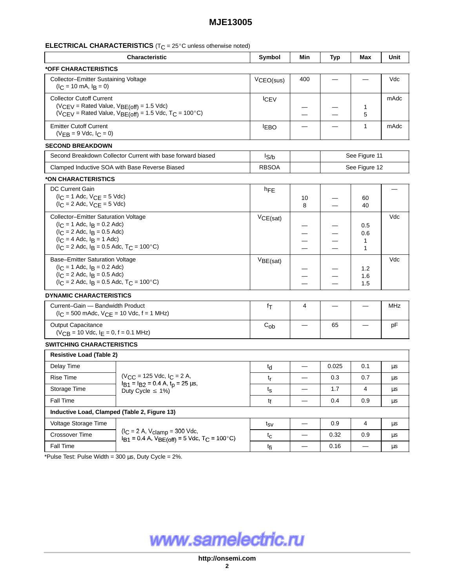#### ⊑I ⊑I I MII AT I WANMATI I WAI NI NI NI NI A II A II WA IIINIAAA AMAMINIAA MAMANI III III III III III III III I

|                                                                                                                                                                                                         | <b>Characteristic</b>                                                     | Symbol           | Min                      | <b>Typ</b>                                | Max                      | Unit          |  |
|---------------------------------------------------------------------------------------------------------------------------------------------------------------------------------------------------------|---------------------------------------------------------------------------|------------------|--------------------------|-------------------------------------------|--------------------------|---------------|--|
| *OFF CHARACTERISTICS                                                                                                                                                                                    |                                                                           |                  |                          |                                           |                          |               |  |
| Collector-Emitter Sustaining Voltage<br>$(lC = 10$ mA, $lB = 0)$                                                                                                                                        |                                                                           | VCEO(sus)        | 400                      |                                           |                          | Vdc           |  |
| <b>Collector Cutoff Current</b><br>$(V_{CEV} =$ Rated Value, $V_{BE(off)} = 1.5$ Vdc)                                                                                                                   | ( $VCEV$ = Rated Value, $VBE(off)$ = 1.5 Vdc, T <sub>C</sub> = 100°C)     | <b>ICEV</b>      | —                        | —                                         | $\mathbf 1$<br>5         | mAdc          |  |
| <b>Emitter Cutoff Current</b><br>$(VEB = 9$ Vdc, $IC = 0)$                                                                                                                                              |                                                                           | <b>IEBO</b>      | $\overline{\phantom{0}}$ | —                                         | $\mathbf{1}$             | mAdc          |  |
| <b>SECOND BREAKDOWN</b>                                                                                                                                                                                 |                                                                           |                  |                          |                                           |                          |               |  |
|                                                                                                                                                                                                         | Second Breakdown Collector Current with base forward biased               | $I_{S/b}$        |                          |                                           | See Figure 11            |               |  |
|                                                                                                                                                                                                         | Clamped Inductive SOA with Base Reverse Biased                            | <b>RBSOA</b>     |                          | See Figure 12                             |                          |               |  |
| *ON CHARACTERISTICS                                                                                                                                                                                     |                                                                           |                  |                          |                                           |                          |               |  |
| DC Current Gain<br>$(I_C = 1$ Adc, $V_{CE} = 5$ Vdc)<br>$(IC = 2$ Adc, $VCE = 5$ Vdc)                                                                                                                   |                                                                           | hFE              | 10<br>8                  | —                                         | 60<br>40                 |               |  |
| Collector-Emitter Saturation Voltage<br>$(I_C = 1$ Adc, $I_B = 0.2$ Adc)<br>$(I_C = 2$ Adc, $I_B = 0.5$ Adc)<br>$(IC = 4$ Adc, $IB = 1$ Adc)<br>$(I_C = 2$ Adc, $I_B = 0.5$ Adc, $T_C = 100^{\circ}$ C) | VCE(sat)                                                                  | --<br>—<br>-     | -<br>-                   | 0.5<br>0.6<br>$\mathbf 1$<br>$\mathbf{1}$ | Vdc                      |               |  |
| Base-Emitter Saturation Voltage<br>$(I_C = 1$ Adc, $I_B = 0.2$ Adc)<br>$(I_C = 2$ Adc, $I_B = 0.5$ Adc)<br>$(I_C = 2$ Adc, $I_B = 0.5$ Adc, $T_C = 100^{\circ}$ C)                                      |                                                                           | $V_{BE(sat)}$    | -<br>--                  | —                                         | 1.2<br>1.6<br>1.5        | Vdc           |  |
| <b>DYNAMIC CHARACTERISTICS</b>                                                                                                                                                                          |                                                                           |                  |                          |                                           |                          |               |  |
| Current-Gain - Bandwidth Product<br>$(I_C = 500 \text{ m}$ Adc, $V_{CE} = 10 \text{ Vdc}$ , f = 1 MHz)                                                                                                  |                                                                           | fτ               | 4                        | —                                         | —                        | <b>MHz</b>    |  |
| <b>Output Capacitance</b><br>$(VCB = 10$ Vdc, $I_E = 0$ , $f = 0.1$ MHz)                                                                                                                                |                                                                           | $C_{ob}$         |                          | 65                                        | $\overline{\phantom{0}}$ | pF            |  |
| <b>SWITCHING CHARACTERISTICS</b>                                                                                                                                                                        |                                                                           |                  |                          |                                           |                          |               |  |
| <b>Resistive Load (Table 2)</b>                                                                                                                                                                         |                                                                           |                  |                          |                                           |                          |               |  |
| Delay Time                                                                                                                                                                                              |                                                                           | $t_{d}$          |                          | 0.025                                     | 0.1                      | $\mu\text{s}$ |  |
| Rise Time                                                                                                                                                                                               | $(V_{CC} = 125$ Vdc, $I_C = 2$ A,                                         | $t_{\mathsf{r}}$ | $\qquad \qquad$          | 0.3                                       | 0.7                      | μs            |  |
| Storage Time                                                                                                                                                                                            | $I_{B1} = I_{B2} = 0.4$ A, $t_p = 25$ $\mu$ s,<br>Duty Cycle $\leq 1\%$ ) | ts               | $\overline{\phantom{m}}$ | 1.7                                       | 4                        | μs            |  |
| Fall Time                                                                                                                                                                                               |                                                                           | tf               | —                        | 0.4                                       | 0.9                      | μs            |  |
| Inductive Load, Clamped (Table 2, Figure 13)                                                                                                                                                            |                                                                           |                  |                          |                                           |                          |               |  |
| Voltage Storage Time                                                                                                                                                                                    |                                                                           | $t_{SV}$         | $\overline{\phantom{m}}$ | 0.9                                       | 4                        | μs            |  |
|                                                                                                                                                                                                         | $(I_C = 2 A, V_{clamp} = 300 Vdc,$                                        |                  | $\qquad \qquad$          | 0.32                                      |                          |               |  |
| Crossover Time                                                                                                                                                                                          | $I_{B1} = 0.4$ A, $V_{BE(off)} = 5$ Vdc, T <sub>C</sub> = 100°C)          | $t_{\rm C}$      |                          |                                           | 0.9                      | μs            |  |

www.samelectric.ru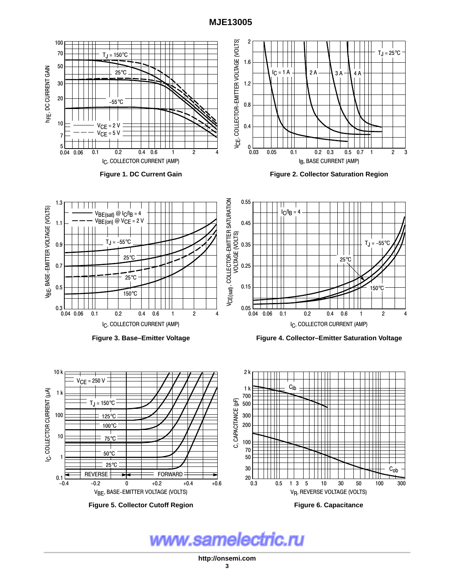

www.samelectric.ru

**http://onsemi.com**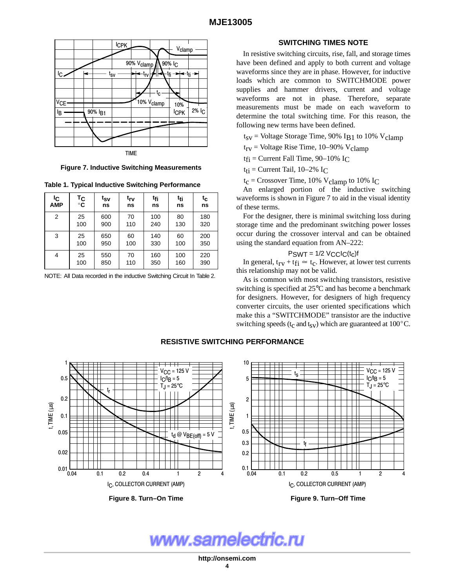

**Figure 7. Inductive Switching Measurements**

**Table 1. Typical Inductive Switching Performance**

| ΙC<br><b>AMP</b> | Тc<br>$^{\circ}$ C | t <sub>SV</sub><br>ns | trv<br>ns | t <sub>fi</sub><br>ns | t <sub>ti</sub><br>ns | $t_c$<br>ns | The changed portion of the maderite switching<br>waveforms is shown in Figure 7 to aid in the visual identity<br>of these terms. |
|------------------|--------------------|-----------------------|-----------|-----------------------|-----------------------|-------------|----------------------------------------------------------------------------------------------------------------------------------|
| $\overline{2}$   | 25<br>100          | 600<br>900            | 70<br>110 | 100<br>240            | 80<br>130             | 180<br>320  | For the designer, there is minimal switching loss during<br>storage time and the predominant switching power losses              |
| 3                | 25<br>100          | 650<br>950            | 60<br>100 | 140<br>330            | 60<br>100             | 200<br>350  | occur during the crossover interval and can be obtained<br>using the standard equation from AN-222:                              |
| 4                | 25<br>100          | 550<br>850            | 70<br>110 | 160<br>350            | 100<br>160            | 220<br>390  | $PSWT = 1/2$ $VCLC(t_c)$ f<br>In general, $t_{rv} + t_{fi} \approx t_c$ . However, at lower test currents                        |

NOTE: All Data recorded in the inductive Switching Circuit In Table 2.  $\Delta_{\alpha}$  is common with most switching

## **SWITCHING TIMES NOTE**

In resistive switching circuits, rise, fall, and storage times have been defined and apply to both current and voltage waveforms since they are in phase. However, for inductive loads which are common to SWITCHMODE power supplies and hammer drivers, current and voltage waveforms are not in phase. Therefore, separate measurements must be made on each waveform to determine the total switching time. For this reason, the following new terms have been defined.

 $t_{SV}$  = Voltage Storage Time, 90% IB1 to 10% V<sub>clamp</sub>

 $t_{rv}$  = Voltage Rise Time, 10–90% V<sub>clamp</sub>

 $t_{fi}$  = Current Fall Time, 90–10% I<sub>C</sub>

 $t_{ti}$  = Current Tail, 10–2% I<sub>C</sub>

 $t_c$  = Crossover Time, 10% V<sub>clamp</sub> to 10% I<sub>C</sub>

 $\begin{array}{c|c|c|c|c|c|c|c|c} \n\text{tr}\n\hline\n\text{tr}\n\text{ns} & \text{tr}\n\text{ns} & \text{ns} & \text{ns} & \text{ns} & \text{ns} & \text{ns} & \text{ns} & \text{ns} & \text{ns} & \text{ns} & \text{ns} & \text{ns} & \text{ns} & \text{ns} & \text{ns} & \text{ns} & \text{ns} & \text{ns} & \text{ns} & \text{ns} & \text{ns} & \text{ns} & \text{ns} & \text{ns} & \text{ns} & \text{ns} & \text{ns} & \text{ns}$ An enlarged portion of the inductive switching

$$
P_{SWT} = 1/2 \, V_{CC}l_{C}(t_{c})f
$$

 $\frac{1}{2}$  this relationship may not be valid.

As is common with most switching transistors, resistive switching is specified at 25°C and has become a benchmark for designers. However, for designers of high frequency converter circuits, the user oriented specifications which make this a "SWITCHMODE" transistor are the inductive switching speeds ( $t_c$  and  $t_{sV}$ ) which are guaranteed at 100 $^{\circ}$ C.

# **RESISTIVE SWITCHING PERFORMANCE**



**Figure 8. Turn–On Time**



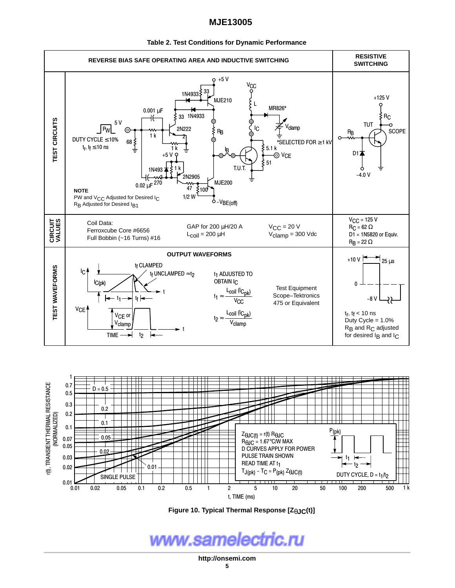

#### **Table 2. Test Conditions for Dynamic Performance**



**Figure 10. Typical Thermal Response [Z**θ**JC(t)]**

www.samelectric.ru

**http://onsemi.com**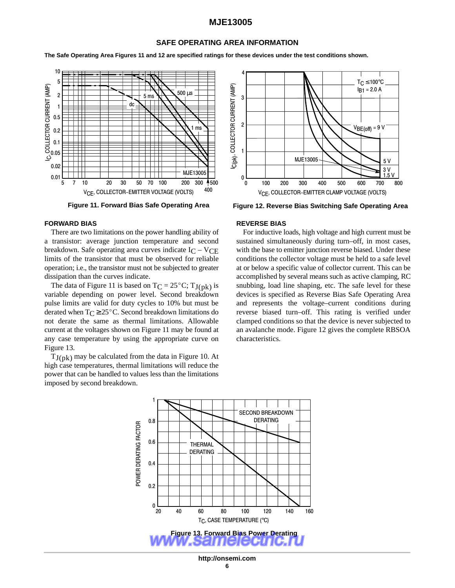## **SAFE OPERATING AREA INFORMATION**

**The Safe Operating Area Figures 11 and 12 are specified ratings for these devices under the test conditions shown.**



#### **FORWARD BIAS**

There are two limitations on the power handling ability of a transistor: average junction temperature and second breakdown. Safe operating area curves indicate  $I_C - V_{CE}$ limits of the transistor that must be observed for reliable operation; i.e., the transistor must not be subjected to greater dissipation than the curves indicate.

The data of Figure 11 is based on  $TC = 25^{\circ}C$ ;  $TJ(pk)$  is variable depending on power level. Second breakdown pulse limits are valid for duty cycles to 10% but must be derated when  $T_C \geq 25^{\circ}$ C. Second breakdown limitations do not derate the same as thermal limitations. Allowable current at the voltages shown on Figure 11 may be found at any case temperature by using the appropriate curve on Figure 13.

 $T_{\rm J(nk)}$  may be calculated from the data in Figure 10. At high case temperatures, thermal limitations will reduce the power that can be handled to values less than the limitations imposed by second breakdown.



**Figure 11. Forward Bias Safe Operating Area Figure 12. Reverse Bias Switching Safe Operating Area**

#### **REVERSE BIAS**

For inductive loads, high voltage and high current must be sustained simultaneously during turn–off, in most cases, with the base to emitter junction reverse biased. Under these conditions the collector voltage must be held to a safe level at or below a specific value of collector current. This can be accomplished by several means such as active clamping, RC snubbing, load line shaping, etc. The safe level for these devices is specified as Reverse Bias Safe Operating Area and represents the voltage–current conditions during reverse biased turn–off. This rating is verified under clamped conditions so that the device is never subjected to an avalanche mode. Figure 12 gives the complete RBSOA characteristics.



**http://onsemi.com**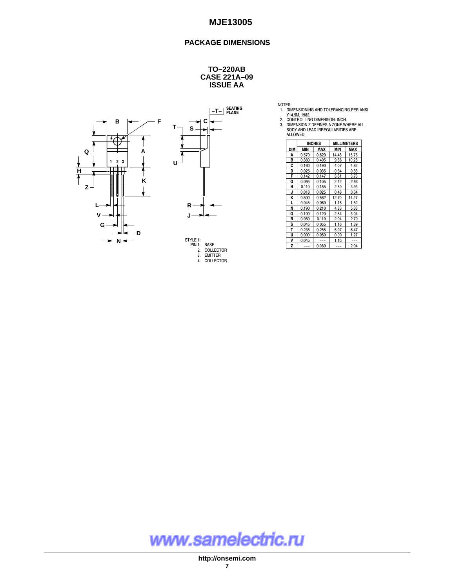# **PACKAGE DIMENSIONS**

#### **CASE 221A–09 ISSUE AA TO–220AB**







| NOTES: |                                   |
|--------|-----------------------------------|
|        | 1. DIMENSIONING AND TOLERANCING F |

1. DIMENSIONING AND TOLERANCING PER ANSI<br>2. CONTROLLING DIMENSION: INCH.<br>2. CONTROLLING DIMENSION: INCH.<br>3. DIMENSION Z DEFINES A ZONE WHERE ALL<br>BODY AND LEAD IRREGULARITIES ARE<br>ALLOWED.

|            |       | <b>INCHES</b> | <b>MILLIMETERS</b> |            |  |
|------------|-------|---------------|--------------------|------------|--|
| <b>DIM</b> | MIN   | MAX           | MIN                | <b>MAX</b> |  |
| A          | 0.570 | 0.620         | 14.48              | 15.75      |  |
| в          | 0.380 | 0.405         | 9.66               | 10.28      |  |
| C          | 0.160 | 0.190         | 4.07               | 4.82       |  |
| D          | 0.025 | 0.035         | 0.64               | 0.88       |  |
| F          | 0.142 | 0.147         | 3.61               | 3.73       |  |
| G          | 0.095 | 0.105         | 2.42               | 2.66       |  |
| н          | 0.110 | 0.155         | 2.80               | 3.93       |  |
| J          | 0.018 | 0.025         | 0.46               | 0.64       |  |
| K          | 0.500 | 0.562         | 12.70              | 14.27      |  |
| L          | 0.045 | 0.060         | 1.15               | 1.52       |  |
| N          | 0.190 | 0.210         | 4.83               | 5.33       |  |
| Q          | 0.100 | 0.120         | 2.54               | 3.04       |  |
| R          | 0.080 | 0.110         | 2.04               | 2.79       |  |
| s          | 0.045 | 0.055         | 1.15               | 1.39       |  |
| т          | 0.235 | 0.255         | 5.97               | 6.47       |  |
| U          | 0.000 | 0.050         | 0.00               | 1.27       |  |
| V          | 0.045 |               | 1.15               |            |  |
| Z          |       | 0.080         |                    | 2.04       |  |